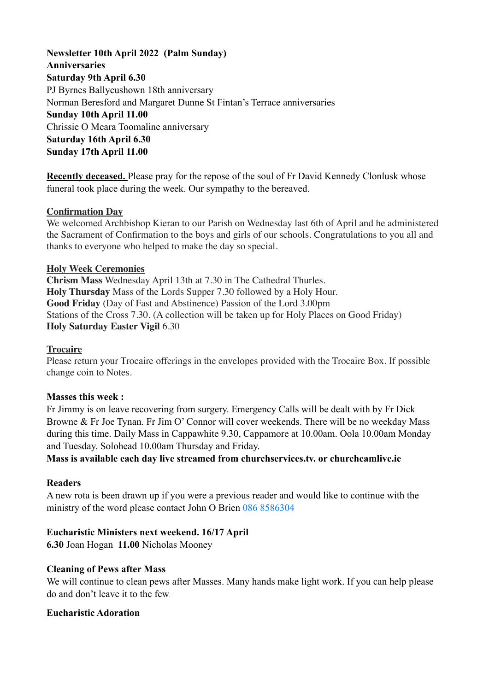**Newsletter 10th April 2022 (Palm Sunday) Anniversaries Saturday 9th April 6.30** PJ Byrnes Ballycushown 18th anniversary Norman Beresford and Margaret Dunne St Fintan's Terrace anniversaries **Sunday 10th April 11.00**  Chrissie O Meara Toomaline anniversary **Saturday 16th April 6.30 Sunday 17th April 11.00** 

**Recently deceased.** Please pray for the repose of the soul of Fr David Kennedy Clonlusk whose funeral took place during the week. Our sympathy to the bereaved.

#### **Confirmation Day**

We welcomed Archbishop Kieran to our Parish on Wednesday last 6th of April and he administered the Sacrament of Confirmation to the boys and girls of our schools. Congratulations to you all and thanks to everyone who helped to make the day so special.

#### **Holy Week Ceremonies**

**Chrism Mass** Wednesday April 13th at 7.30 in The Cathedral Thurles. **Holy Thursday** Mass of the Lords Supper 7.30 followed by a Holy Hour. **Good Friday** (Day of Fast and Abstinence) Passion of the Lord 3.00pm Stations of the Cross 7.30. (A collection will be taken up for Holy Places on Good Friday) **Holy Saturday Easter Vigil** 6.30

#### **Trocaire**

Please return your Trocaire offerings in the envelopes provided with the Trocaire Box. If possible change coin to Notes.

#### **Masses this week :**

Fr Jimmy is on leave recovering from surgery. Emergency Calls will be dealt with by Fr Dick Browne & Fr Joe Tynan. Fr Jim O' Connor will cover weekends. There will be no weekday Mass during this time. Daily Mass in Cappawhite 9.30, Cappamore at 10.00am. Oola 10.00am Monday and Tuesday. Solohead 10.00am Thursday and Friday.

### **Mass is available each day live streamed from churchservices.tv. or [churchcamlive.ie](http://churchcamlive.ie)**

#### **Readers**

A new rota is been drawn up if you were a previous reader and would like to continue with the ministry of the word please contact John O Brien 086 8586304

### **Eucharistic Ministers next weekend. 16/17 April**

**6.30** Joan Hogan **11.00** Nicholas Mooney

### **Cleaning of Pews after Mass**

We will continue to clean pews after Masses. Many hands make light work. If you can help please do and don't leave it to the few.

#### **Eucharistic Adoration**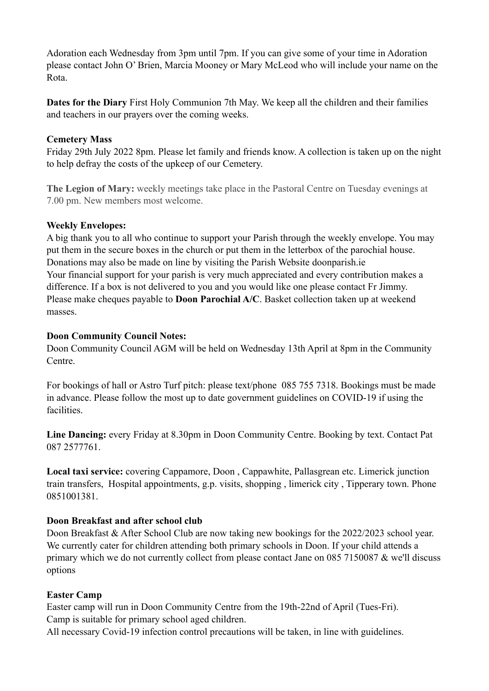Adoration each Wednesday from 3pm until 7pm. If you can give some of your time in Adoration please contact John O' Brien, Marcia Mooney or Mary McLeod who will include your name on the Rota.

**Dates for the Diary** First Holy Communion 7th May. We keep all the children and their families and teachers in our prayers over the coming weeks.

## **Cemetery Mass**

Friday 29th July 2022 8pm. Please let family and friends know. A collection is taken up on the night to help defray the costs of the upkeep of our Cemetery.

**The Legion of Mary:** weekly meetings take place in the Pastoral Centre on Tuesday evenings at 7.00 pm. New members most welcome.

## **Weekly Envelopes:**

A big thank you to all who continue to support your Parish through the weekly envelope. You may put them in the secure boxes in the church or put them in the letterbox of the parochial house. Donations may also be made on line by visiting the Parish Website [doonparish.ie](http://doonparish.ie) Your financial support for your parish is very much appreciated and every contribution makes a difference. If a box is not delivered to you and you would like one please contact Fr Jimmy. Please make cheques payable to **Doon Parochial A/C**. Basket collection taken up at weekend masses.

## **Doon Community Council Notes:**

Doon Community Council AGM will be held on Wednesday 13th April at 8pm in the Community Centre.

For bookings of hall or Astro Turf pitch: please text/phone 085 755 7318. Bookings must be made in advance. Please follow the most up to date government guidelines on COVID-19 if using the facilities.

**Line Dancing:** every Friday at 8.30pm in Doon Community Centre. Booking by text. Contact Pat 087 2577761.

**Local taxi service:** covering Cappamore, Doon , Cappawhite, Pallasgrean etc. Limerick junction train transfers, Hospital appointments, g.p. visits, shopping , limerick city , Tipperary town. Phone 0851001381.

## **Doon Breakfast and after school club**

Doon Breakfast & After School Club are now taking new bookings for the 2022/2023 school year. We currently cater for children attending both primary schools in Doon. If your child attends a primary which we do not currently collect from please contact Jane on 085 7150087 & we'll discuss options

### **Easter Camp**

Easter camp will run in Doon Community Centre from the 19th-22nd of April (Tues-Fri). Camp is suitable for primary school aged children.

All necessary Covid-19 infection control precautions will be taken, in line with guidelines.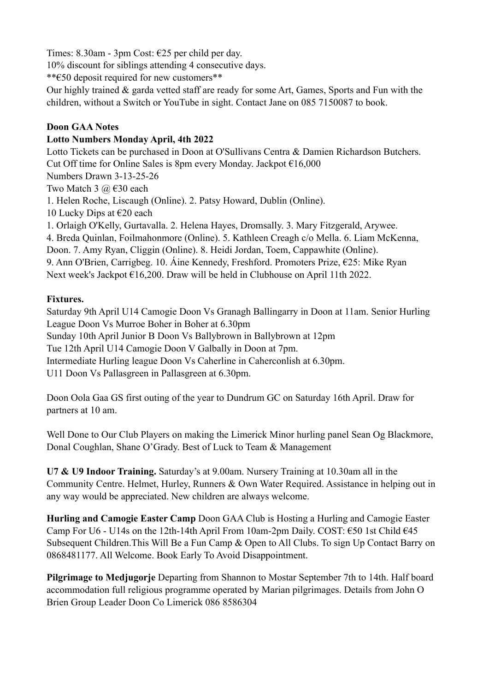Times: 8.30am - 3pm Cost: €25 per child per day.

10% discount for siblings attending 4 consecutive days.

\*\*€50 deposit required for new customers\*\*

Our highly trained & garda vetted staff are ready for some Art, Games, Sports and Fun with the children, without a Switch or YouTube in sight. Contact Jane on 085 7150087 to book.

# **Doon GAA Notes**

## **Lotto Numbers Monday April, 4th 2022**

Lotto Tickets can be purchased in Doon at O'Sullivans Centra & Damien Richardson Butchers. Cut Off time for Online Sales is 8pm every Monday. Jackpot €16,000 Numbers Drawn 3-13-25-26 Two Match 3  $\omega$   $\in$  30 each 1. Helen Roche, Liscaugh (Online). 2. Patsy Howard, Dublin (Online). 10 Lucky Dips at  $\epsilon$ 20 each 1. Orlaigh O'Kelly, Gurtavalla. 2. Helena Hayes, Dromsally. 3. Mary Fitzgerald, Arywee. 4. Breda Quinlan, Foilmahonmore (Online). 5. Kathleen Creagh c/o Mella. 6. Liam McKenna, Doon. 7. Amy Ryan, Cliggin (Online). 8. Heidi Jordan, Toem, Cappawhite (Online). 9. Ann O'Brien, Carrigbeg. 10. Áine Kennedy, Freshford. Promoters Prize, €25: Mike Ryan Next week's Jackpot €16,200. Draw will be held in Clubhouse on April 11th 2022.

# **Fixtures.**

Saturday 9th April U14 Camogie Doon Vs Granagh Ballingarry in Doon at 11am. Senior Hurling League Doon Vs Murroe Boher in Boher at 6.30pm Sunday 10th April Junior B Doon Vs Ballybrown in Ballybrown at 12pm Tue 12th April U14 Camogie Doon V Galbally in Doon at 7pm. Intermediate Hurling league Doon Vs Caherline in Caherconlish at 6.30pm.

U11 Doon Vs Pallasgreen in Pallasgreen at 6.30pm.

Doon Oola Gaa GS first outing of the year to Dundrum GC on Saturday 16th April. Draw for partners at 10 am.

Well Done to Our Club Players on making the Limerick Minor hurling panel Sean Og Blackmore, Donal Coughlan, Shane O'Grady. Best of Luck to Team & Management

**U7 & U9 Indoor Training.** Saturday's at 9.00am. Nursery Training at 10.30am all in the Community Centre. Helmet, Hurley, Runners & Own Water Required. Assistance in helping out in any way would be appreciated. New children are always welcome.

**Hurling and Camogie Easter Camp** Doon GAA Club is Hosting a Hurling and Camogie Easter Camp For U6 - U14s on the 12th-14th April From 10am-2pm Daily. COST:  $\epsilon$ 50 1st Child  $\epsilon$ 45 Subsequent Children.This Will Be a Fun Camp & Open to All Clubs. To sign Up Contact Barry on 0868481177. All Welcome. Book Early To Avoid Disappointment.

**Pilgrimage to Medjugorje** Departing from Shannon to Mostar September 7th to 14th. Half board accommodation full religious programme operated by Marian pilgrimages. Details from John O Brien Group Leader Doon Co Limerick 086 8586304